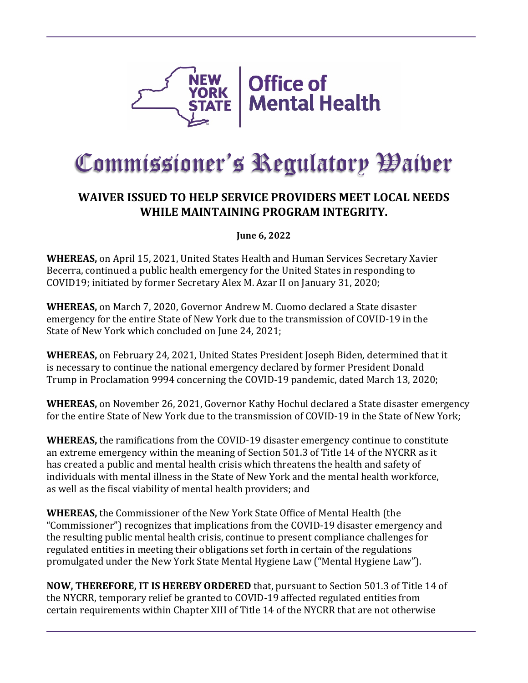

## Commissioner's Regulatory Waiver

## **WAIVER ISSUED TO HELP SERVICE PROVIDERS MEET LOCAL NEEDS WHILE MAINTAINING PROGRAM INTEGRITY.**

**June 6, 2022** 

**WHEREAS,** on April 15, 2021, United States Health and Human Services Secretary Xavier Becerra, continued a public health emergency for the United States in responding to COVID19; initiated by former Secretary Alex M. Azar II on January 31, 2020;

**WHEREAS,** on March 7, 2020, Governor Andrew M. Cuomo declared a State disaster emergency for the entire State of New York due to the transmission of COVID-19 in the State of New York which concluded on June 24, 2021;

**WHEREAS,** on February 24, 2021, United States President Joseph Biden, determined that it is necessary to continue the national emergency declared by former President Donald Trump in Proclamation 9994 concerning the COVID-19 pandemic, dated March 13, 2020;

**WHEREAS,** on November 26, 2021, Governor Kathy Hochul declared a State disaster emergency for the entire State of New York due to the transmission of COVID-19 in the State of New York;

**WHEREAS,** the ramifications from the COVID-19 disaster emergency continue to constitute an extreme emergency within the meaning of Section 501.3 of Title 14 of the NYCRR as it has created a public and mental health crisis which threatens the health and safety of individuals with mental illness in the State of New York and the mental health workforce, as well as the fiscal viability of mental health providers; and

**WHEREAS,** the Commissioner of the New York State Office of Mental Health (the "Commissioner") recognizes that implications from the COVID-19 disaster emergency and the resulting public mental health crisis, continue to present compliance challenges for regulated entities in meeting their obligations set forth in certain of the regulations promulgated under the New York State Mental Hygiene Law ("Mental Hygiene Law").

**NOW, THEREFORE, IT IS HEREBY ORDERED** that, pursuant to Section 501.3 of Title 14 of the NYCRR, temporary relief be granted to COVID-19 affected regulated entities from certain requirements within Chapter XIII of Title 14 of the NYCRR that are not otherwise